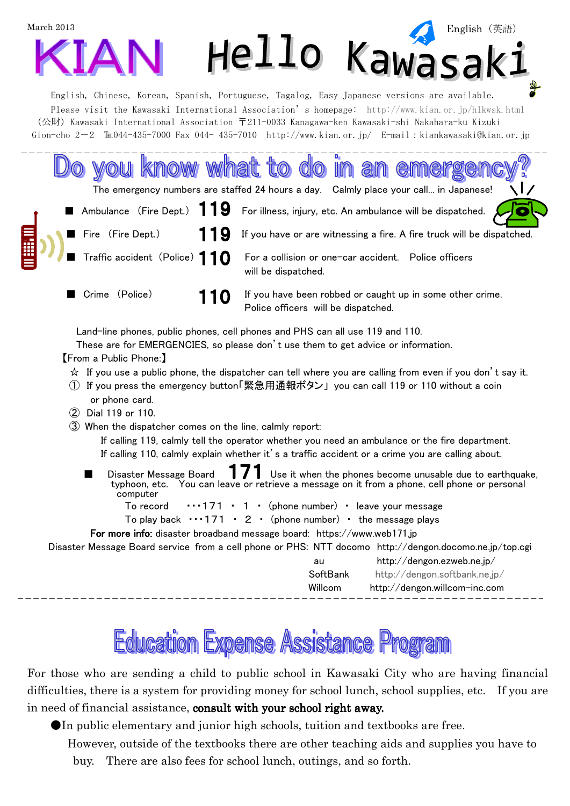

|    |  |                   | $\sqrt{7}$<br>The emergency numbers are staffed 24 hours a day. Calmly place your call in Japanese!                       |
|----|--|-------------------|---------------------------------------------------------------------------------------------------------------------------|
|    |  |                   | Ambulance (Fire Dept.) $119$ For illness, injury, etc. An ambulance will be dispatched. $\sqrt{\bullet}$                  |
| 目) |  | Fire (Fire Dept.) | 119 If you have or are witnessing a fire. A fire truck will be dispatched.                                                |
|    |  |                   | $\sqrt{ }$ Traffic accident (Police) $\bf 10$ For a collision or one-car accident. Police officers<br>will be dispatched. |
|    |  | Crime (Police)    | <b>110</b> If you have been robbed or caught up in some other crime.                                                      |

Land-line phones, public phones, cell phones and PHS can all use 119 and 110.

These are for EMERGENCIES, so please don't use them to get advice or information.

## 【From a Public Phone:】

 $\star$  If you use a public phone, the dispatcher can tell where you are calling from even if you don't say it.

Police officers will be dispatched.

- ① If you press the emergency button「緊急用通報ボタン」 you can call 119 or 110 without a coin or phone card.
- ② Dial 119 or 110.
- ③ When the dispatcher comes on the line, calmly report:

If calling 119, calmly tell the operator whether you need an ambulance or the fire department. If calling 110, calmly explain whether it's a traffic accident or a crime you are calling about.

Disaster Message Board  $\blacksquare$   $\blacksquare$  Use it when the phones become unusable due to earthquake, typhoon, etc. You can leave or retrieve a message on it from a phone, cell phone or personal computer

To record  $\cdots$ 171 · 1 · (phone number) · leave your message

To play back  $\cdots$ 171 · 2 · (phone number) · the message plays

## For more info: disaster broadband message board: https://www.web171.jp

Disaster Message Board service from a cell phone or PHS: NTT docomo http://dengon.docomo.ne.jp/top.cgi

| au       | http://dengon.ezweb.ne.jp/    |
|----------|-------------------------------|
| SoftBank | http://dengon.softbank.ne.jp/ |
| Willcom  | http://dengon.willcom-inc.com |

## **Education Expense Assistance Program**

For those who are sending a child to public school in Kawasaki City who are having financial difficulties, there is a system for providing money for school lunch, school supplies, etc. If you are in need of financial assistance, consult with your school right away.

●In public elementary and junior high schools, tuition and textbooks are free.

However, outside of the textbooks there are other teaching aids and supplies you have to

buy. There are also fees for school lunch, outings, and so forth.